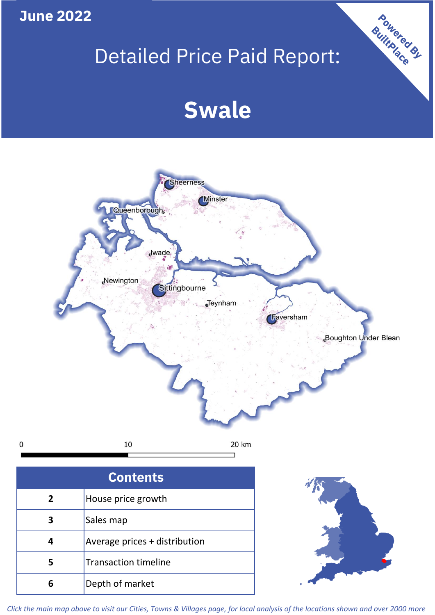# **June 2022**

**5**

**4**

# Detailed Price Paid Report:

Powered By

# **Swale**



*Click the main map above to visit our Cities, Towns & Villages page, for local analysis of the locations shown and over 2000 more*

Average prices + distribution

Transaction timeline

**6** Depth of market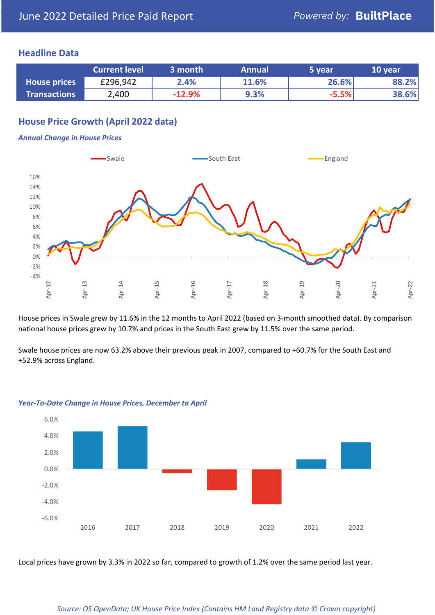### **Headline Data**

|                     | <b>Current level</b> | 3 month  | <b>Annual</b> | 5 year  | 10 year |
|---------------------|----------------------|----------|---------------|---------|---------|
| <b>House prices</b> | £296,942             | 2.4%     | 11.6%         | 26.6%   | 88.2%   |
| <b>Transactions</b> | 2,400                | $-12.9%$ | 9.3%          | $-5.5%$ | 38.6%   |

# **House Price Growth (April 2022 data)**

#### *Annual Change in House Prices*



House prices in Swale grew by 11.6% in the 12 months to April 2022 (based on 3-month smoothed data). By comparison national house prices grew by 10.7% and prices in the South East grew by 11.5% over the same period.

Swale house prices are now 63.2% above their previous peak in 2007, compared to +60.7% for the South East and +52.9% across England.



#### *Year-To-Date Change in House Prices, December to April*

Local prices have grown by 3.3% in 2022 so far, compared to growth of 1.2% over the same period last year.

#### *Source: OS OpenData; UK House Price Index (Contains HM Land Registry data © Crown copyright)*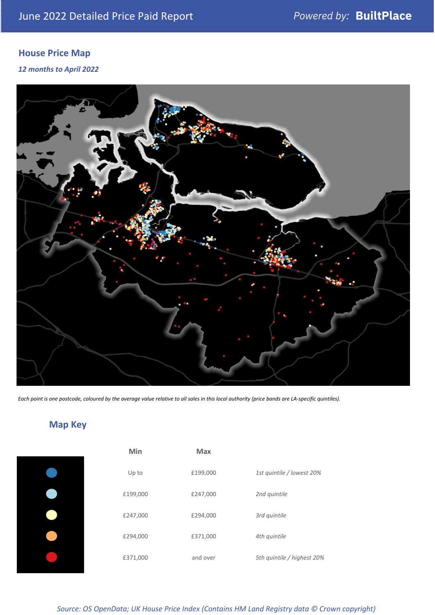# **House Price Map**

*12 months to April 2022*



*Each point is one postcode, coloured by the average value relative to all sales in this local authority (price bands are LA-specific quintiles).*

# **Map Key**

| Min      | Max      |                            |
|----------|----------|----------------------------|
| Up to    | £199,000 | 1st quintile / lowest 20%  |
| £199,000 | £247,000 | 2nd quintile               |
| £247,000 | £294,000 | 3rd quintile               |
| £294,000 | £371,000 | 4th quintile               |
| £371,000 | and over | 5th quintile / highest 20% |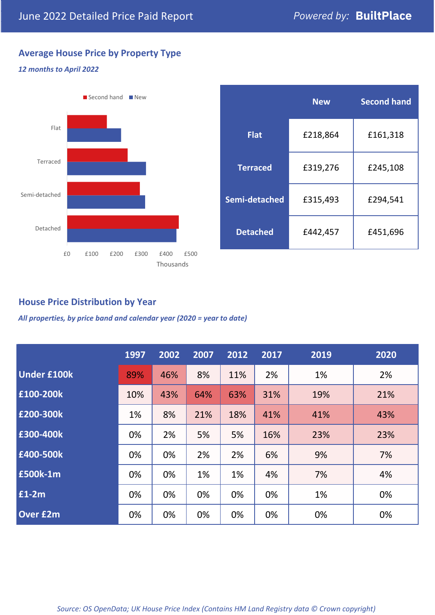# **Average House Price by Property Type**

#### *12 months to April 2022*



|                 | <b>New</b> | <b>Second hand</b> |  |  |
|-----------------|------------|--------------------|--|--|
| <b>Flat</b>     | £218,864   | £161,318           |  |  |
| <b>Terraced</b> | £319,276   | £245,108           |  |  |
| Semi-detached   | £315,493   | £294,541           |  |  |
| <b>Detached</b> | £442,457   | £451,696           |  |  |

# **House Price Distribution by Year**

*All properties, by price band and calendar year (2020 = year to date)*

|                    | 1997 | 2002 | 2007 | 2012 | 2017 | 2019 | 2020 |
|--------------------|------|------|------|------|------|------|------|
| <b>Under £100k</b> | 89%  | 46%  | 8%   | 11%  | 2%   | 1%   | 2%   |
| £100-200k          | 10%  | 43%  | 64%  | 63%  | 31%  | 19%  | 21%  |
| E200-300k          | 1%   | 8%   | 21%  | 18%  | 41%  | 41%  | 43%  |
| £300-400k          | 0%   | 2%   | 5%   | 5%   | 16%  | 23%  | 23%  |
| £400-500k          | 0%   | 0%   | 2%   | 2%   | 6%   | 9%   | 7%   |
| £500k-1m           | 0%   | 0%   | 1%   | 1%   | 4%   | 7%   | 4%   |
| £1-2m              | 0%   | 0%   | 0%   | 0%   | 0%   | 1%   | 0%   |
| <b>Over £2m</b>    | 0%   | 0%   | 0%   | 0%   | 0%   | 0%   | 0%   |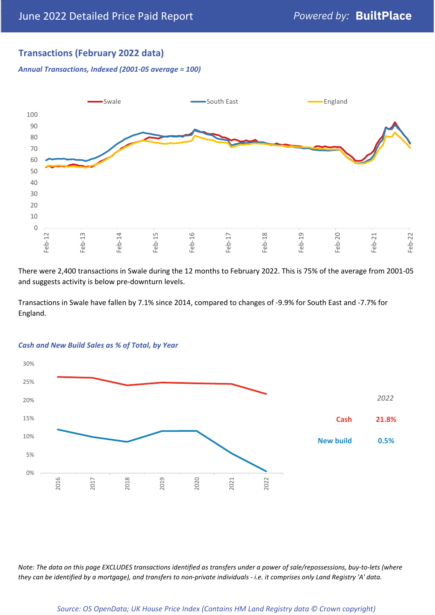# **Transactions (February 2022 data)**

*Annual Transactions, Indexed (2001-05 average = 100)*



There were 2,400 transactions in Swale during the 12 months to February 2022. This is 75% of the average from 2001-05 and suggests activity is below pre-downturn levels.

Transactions in Swale have fallen by 7.1% since 2014, compared to changes of -9.9% for South East and -7.7% for England.



#### *Cash and New Build Sales as % of Total, by Year*

*Note: The data on this page EXCLUDES transactions identified as transfers under a power of sale/repossessions, buy-to-lets (where they can be identified by a mortgage), and transfers to non-private individuals - i.e. it comprises only Land Registry 'A' data.*